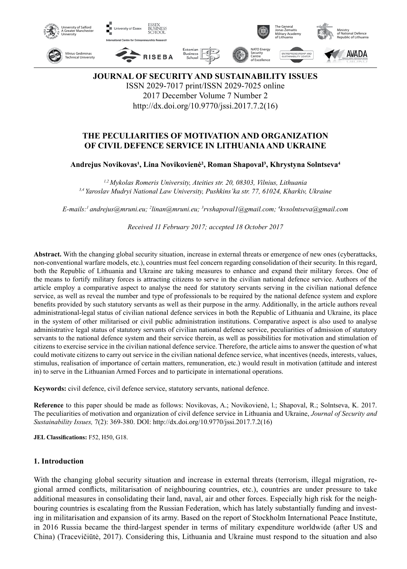

**JOURNAL OF SECURITY AND SUSTAINABILITY ISSUES** ISSN 2029-7017 print/ISSN 2029-7025 online 2017 December Volume 7 Number 2 http://dx.doi.org/10.9770/jssi.2017.7.2(16)

# **THE PECULIARITIES OF MOTIVATION AND ORGANIZATION OF CIVIL DEFENCE SERVICE IN LITHUANIA AND UKRAINE**

#### **Andrejus Novikovas¹, Lina Novikovienė², Roman Shapoval³, Khrystyna Solntseva<sup>4</sup>**

*1,2 Mykolas Romeris University, Ateities str. 20, 08303, Vilnius, Lithuania 3,4 Yaroslav Mudryi National Law University, Pushkins'ka str. 77, 61024, Kharkiv, Ukraine*

*E-mails:1 andrejus@mruni.eu; 2 linan@mruni.eu; 3 rvshapoval1@gmail.com; 4 kvsolntseva@gmail.com*

*Received 11 February 2017; accepted 18 October 2017*

**Abstract.** With the changing global security situation, increase in external threats or emergence of new ones (cyberattacks, non-conventional warfare models, etc.), countries must feel concern regarding consolidation of their security. In this regard, both the Republic of Lithuania and Ukraine are taking measures to enhance and expand their military forces. One of the means to fortify military forces is attracting citizens to serve in the civilian national defence service. Authors of the article employ a comparative aspect to analyse the need for statutory servants serving in the civilian national defence service, as well as reveal the number and type of professionals to be required by the national defence system and explore benefits provided by such statutory servants as well as their purpose in the army. Additionally, in the article authors reveal administrational-legal status of civilian national defence services in both the Republic of Lithuania and Ukraine, its place in the system of other militarised or civil public administration institutions. Comparative aspect is also used to analyse administrative legal status of statutory servants of civilian national defence service, peculiarities of admission of statutory servants to the national defence system and their service therein, as well as possibilities for motivation and stimulation of citizens to exercise service in the civilian national defence service. Therefore, the article aims to answer the question of what could motivate citizens to carry out service in the civilian national defence service, what incentives (needs, interests, values, stimulus, realisation of importance of certain matters, remuneration, etc.) would result in motivation (attitude and interest in) to serve in the Lithuanian Armed Forces and to participate in international operations.

**Keywords:** civil defence, civil defence service, statutory servants, national defence.

**Reference** to this paper should be made as follows: Novikovas, A.; Novikovienė, l.; Shapoval, R.; Solntseva, K. 2017. The peculiarities of motivation and organization of civil defence service in Lithuania and Ukraine, *Journal of Security and Sustainability Issues,* 7(2): 369-380. DOI: http://dx.doi.org/10.9770/jssi.2017.7.2(16)

**JEL Classifications:** F52, H50, G18.

#### **1. Introduction**

With the changing global security situation and increase in external threats (terrorism, illegal migration, regional armed conflicts, militarisation of neighbouring countries, etc.), countries are under pressure to take additional measures in consolidating their land, naval, air and other forces. Especially high risk for the neighbouring countries is escalating from the Russian Federation, which has lately substantially funding and investing in militarisation and expansion of its army. Based on the report of Stockholm International Peace Institute, in 2016 Russia became the third-largest spender in terms of military expenditure worldwide (after US and China) (Tracevičiūtė, 2017). Considering this, Lithuania and Ukraine must respond to the situation and also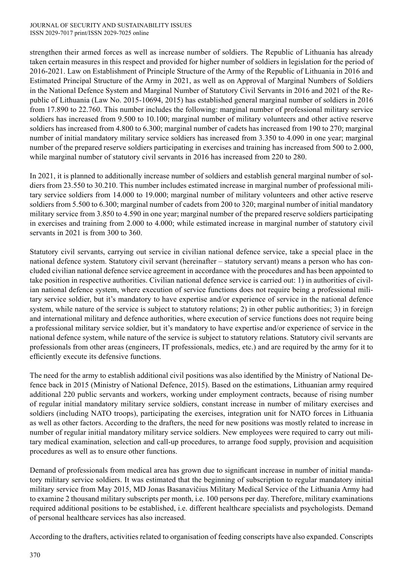strengthen their armed forces as well as increase number of soldiers. The Republic of Lithuania has already taken certain measures in this respect and provided for higher number of soldiers in legislation for the period of 2016-2021. Law on Establishment of Principle Structure of the Army of the Republic of Lithuania in 2016 and Estimated Principal Structure of the Army in 2021, as well as on Approval of Marginal Numbers of Soldiers in the National Defence System and Marginal Number of Statutory Civil Servants in 2016 and 2021 of the Republic of Lithuania (Law No. 2015-10694, 2015) has established general marginal number of soldiers in 2016 from 17.890 to 22.760. This number includes the following: marginal number of professional military service soldiers has increased from 9.500 to 10.100; marginal number of military volunteers and other active reserve soldiers has increased from 4.800 to 6.300; marginal number of cadets has increased from 190 to 270; marginal number of initial mandatory military service soldiers has increased from 3.350 to 4.090 in one year; marginal number of the prepared reserve soldiers participating in exercises and training has increased from 500 to 2.000, while marginal number of statutory civil servants in 2016 has increased from 220 to 280.

In 2021, it is planned to additionally increase number of soldiers and establish general marginal number of soldiers from 23.550 to 30.210. This number includes estimated increase in marginal number of professional military service soldiers from 14.000 to 19.000; marginal number of military volunteers and other active reserve soldiers from 5.500 to 6.300; marginal number of cadets from 200 to 320; marginal number of initial mandatory military service from 3.850 to 4.590 in one year; marginal number of the prepared reserve soldiers participating in exercises and training from 2.000 to 4.000; while estimated increase in marginal number of statutory civil servants in 2021 is from 300 to 360.

Statutory civil servants, carrying out service in civilian national defence service, take a special place in the national defence system. Statutory civil servant (hereinafter – statutory servant) means a person who has concluded civilian national defence service agreement in accordance with the procedures and has been appointed to take position in respective authorities. Civilian national defence service is carried out: 1) in authorities of civilian national defence system, where execution of service functions does not require being a professional military service soldier, but it's mandatory to have expertise and/or experience of service in the national defence system, while nature of the service is subject to statutory relations; 2) in other public authorities; 3) in foreign and international military and defence authorities, where execution of service functions does not require being a professional military service soldier, but it's mandatory to have expertise and/or experience of service in the national defence system, while nature of the service is subject to statutory relations. Statutory civil servants are professionals from other areas (engineers, IT professionals, medics, etc.) and are required by the army for it to efficiently execute its defensive functions.

The need for the army to establish additional civil positions was also identified by the Ministry of National Defence back in 2015 (Ministry of National Defence, 2015). Based on the estimations, Lithuanian army required additional 220 public servants and workers, working under employment contracts, because of rising number of regular initial mandatory military service soldiers, constant increase in number of military exercises and soldiers (including NATO troops), participating the exercises, integration unit for NATO forces in Lithuania as well as other factors. According to the drafters, the need for new positions was mostly related to increase in number of regular initial mandatory military service soldiers. New employees were required to carry out military medical examination, selection and call-up procedures, to arrange food supply, provision and acquisition procedures as well as to ensure other functions.

Demand of professionals from medical area has grown due to significant increase in number of initial mandatory military service soldiers. It was estimated that the beginning of subscription to regular mandatory initial military service from May 2015, MD Jonas Basanavičius Military Medical Service of the Lithuania Army had to examine 2 thousand military subscripts per month, i.e. 100 persons per day. Therefore, military examinations required additional positions to be established, i.e. different healthcare specialists and psychologists. Demand of personal healthcare services has also increased.

According to the drafters, activities related to organisation of feeding conscripts have also expanded. Conscripts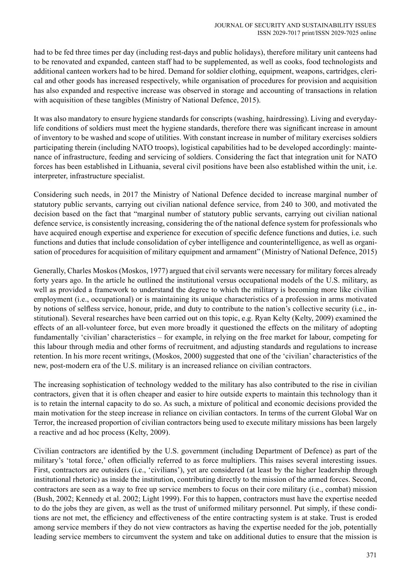had to be fed three times per day (including rest-days and public holidays), therefore military unit canteens had to be renovated and expanded, canteen staff had to be supplemented, as well as cooks, food technologists and additional canteen workers had to be hired. Demand for soldier clothing, equipment, weapons, cartridges, clerical and other goods has increased respectively, while organisation of procedures for provision and acquisition has also expanded and respective increase was observed in storage and accounting of transactions in relation with acquisition of these tangibles (Ministry of National Defence, 2015).

It was also mandatory to ensure hygiene standards for conscripts (washing, hairdressing). Living and everydaylife conditions of soldiers must meet the hygiene standards, therefore there was significant increase in amount of inventory to be washed and scope of utilities. With constant increase in number of military exercises soldiers participating therein (including NATO troops), logistical capabilities had to be developed accordingly: maintenance of infrastructure, feeding and servicing of soldiers. Considering the fact that integration unit for NATO forces has been established in Lithuania, several civil positions have been also established within the unit, i.e. interpreter, infrastructure specialist.

Considering such needs, in 2017 the Ministry of National Defence decided to increase marginal number of statutory public servants, carrying out civilian national defence service, from 240 to 300, and motivated the decision based on the fact that "marginal number of statutory public servants, carrying out civilian national defence service, is consistently increasing, considering the of the national defence system for professionals who have acquired enough expertise and experience for execution of specific defence functions and duties, i.e. such functions and duties that include consolidation of cyber intelligence and counterintelligence, as well as organisation of procedures for acquisition of military equipment and armament" (Ministry of National Defence, 2015)

Generally, Charles Moskos (Moskos, 1977) argued that civil servants were necessary for military forces already forty years ago. In the article he outlined the institutional versus occupational models of the U.S. military, as well as provided a framework to understand the degree to which the military is becoming more like civilian employment (i.e., occupational) or is maintaining its unique characteristics of a profession in arms motivated by notions of selfless service, honour, pride, and duty to contribute to the nation's collective security (i.e., institutional). Several researches have been carried out on this topic, e.g. Ryan Kelty (Kelty, 2009) examined the effects of an all-volunteer force, but even more broadly it questioned the effects on the military of adopting fundamentally 'civilian' characteristics – for example, in relying on the free market for labour, competing for this labour through media and other forms of recruitment, and adjusting standards and regulations to increase retention. In his more recent writings, (Moskos, 2000) suggested that one of the 'civilian' characteristics of the new, post-modern era of the U.S. military is an increased reliance on civilian contractors.

The increasing sophistication of technology wedded to the military has also contributed to the rise in civilian contractors, given that it is often cheaper and easier to hire outside experts to maintain this technology than it is to retain the internal capacity to do so. As such, a mixture of political and economic decisions provided the main motivation for the steep increase in reliance on civilian contactors. In terms of the current Global War on Terror, the increased proportion of civilian contractors being used to execute military missions has been largely a reactive and ad hoc process (Kelty, 2009).

Civilian contractors are identified by the U.S. government (including Department of Defence) as part of the military's 'total force,' often officially referred to as force multipliers. This raises several interesting issues. First, contractors are outsiders (i.e., 'civilians'), yet are considered (at least by the higher leadership through institutional rhetoric) as inside the institution, contributing directly to the mission of the armed forces. Second, contractors are seen as a way to free up service members to focus on their core military (i.e., combat) mission (Bush, 2002; Kennedy et al. 2002; Light 1999). For this to happen, contractors must have the expertise needed to do the jobs they are given, as well as the trust of uniformed military personnel. Put simply, if these conditions are not met, the efficiency and effectiveness of the entire contracting system is at stake. Trust is eroded among service members if they do not view contractors as having the expertise needed for the job, potentially leading service members to circumvent the system and take on additional duties to ensure that the mission is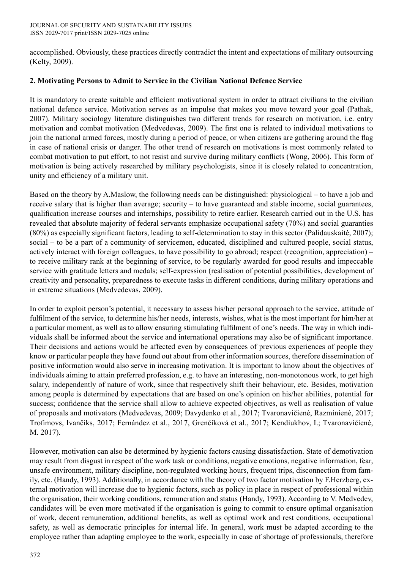accomplished. Obviously, these practices directly contradict the intent and expectations of military outsourcing (Kelty, 2009).

# **2. Motivating Persons to Admit to Service in the Civilian National Defence Service**

It is mandatory to create suitable and efficient motivational system in order to attract civilians to the civilian national defence service. Motivation serves as an impulse that makes you move toward your goal (Pathak, 2007). Military sociology literature distinguishes two different trends for research on motivation, i.e. entry motivation and combat motivation (Medvedevas, 2009). The first one is related to individual motivations to join the national armed forces, mostly during a period of peace, or when citizens are gathering around the flag in case of national crisis or danger. The other trend of research on motivations is most commonly related to combat motivation to put effort, to not resist and survive during military conflicts (Wong, 2006). This form of motivation is being actively researched by military psychologists, since it is closely related to concentration, unity and efficiency of a military unit.

Based on the theory by A.Maslow, the following needs can be distinguished: physiological – to have a job and receive salary that is higher than average; security – to have guaranteed and stable income, social guarantees, qualification increase courses and internships, possibility to retire earlier. Research carried out in the U.S. has revealed that absolute majority of federal servants emphasize occupational safety (70%) and social guaranties (80%) as especially significant factors, leading to self-determination to stay in this sector (Palidauskaitė, 2007); social – to be a part of a community of servicemen, educated, disciplined and cultured people, social status, actively interact with foreign colleagues, to have possibility to go abroad; respect (recognition, appreciation) – to receive military rank at the beginning of service, to be regularly awarded for good results and impeccable service with gratitude letters and medals; self-expression (realisation of potential possibilities, development of creativity and personality, preparedness to execute tasks in different conditions, during military operations and in extreme situations (Medvedevas, 2009).

In order to exploit person's potential, it necessary to assess his/her personal approach to the service, attitude of fulfilment of the service, to determine his/her needs, interests, wishes, what is the most important for him/her at a particular moment, as well as to allow ensuring stimulating fulfilment of one's needs. The way in which individuals shall be informed about the service and international operations may also be of significant importance. Their decisions and actions would be affected even by consequences of previous experiences of people they know or particular people they have found out about from other information sources, therefore dissemination of positive information would also serve in increasing motivation. It is important to know about the objectives of individuals aiming to attain preferred profession, e.g. to have an interesting, non-monotonous work, to get high salary, independently of nature of work, since that respectively shift their behaviour, etc. Besides, motivation among people is determined by expectations that are based on one's opinion on his/her abilities, potential for success; confidence that the service shall allow to achieve expected objectives, as well as realisation of value of proposals and motivators (Medvedevas, 2009; Davydenko et al., 2017; Tvaronavičienė, Razminienė, 2017; Trofimovs, Ivančiks, 2017; Fernández et al., 2017, Grenčíková et al., 2017; Kendiukhov, I.; Tvaronavičienė, M. 2017).

However, motivation can also be determined by hygienic factors causing dissatisfaction. State of demotivation may result from disgust in respect of the work task or conditions, negative emotions, negative information, fear, unsafe environment, military discipline, non-regulated working hours, frequent trips, disconnection from family, etc. (Handy, 1993). Additionally, in accordance with the theory of two factor motivation by F.Herzberg, external motivation will increase due to hygienic factors, such as policy in place in respect of professional within the organisation, their working conditions, remuneration and status (Handy, 1993). According to V. Medvedev, candidates will be even more motivated if the organisation is going to commit to ensure optimal organisation of work, decent remuneration, additional benefits, as well as optimal work and rest conditions, occupational safety, as well as democratic principles for internal life. In general, work must be adapted according to the employee rather than adapting employee to the work, especially in case of shortage of professionals, therefore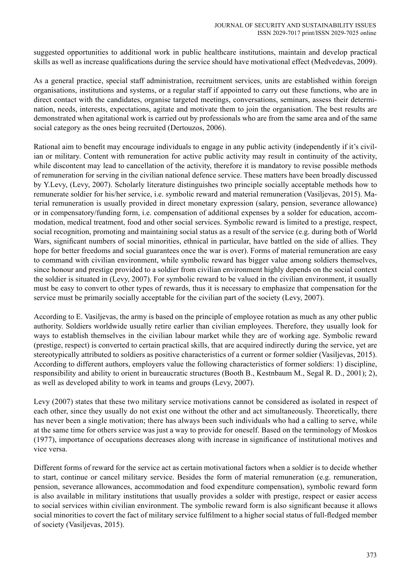suggested opportunities to additional work in public healthcare institutions, maintain and develop practical skills as well as increase qualifications during the service should have motivational effect (Medvedevas, 2009).

As a general practice, special staff administration, recruitment services, units are established within foreign organisations, institutions and systems, or a regular staff if appointed to carry out these functions, who are in direct contact with the candidates, organise targeted meetings, conversations, seminars, assess their determination, needs, interests, expectations, agitate and motivate them to join the organisation. The best results are demonstrated when agitational work is carried out by professionals who are from the same area and of the same social category as the ones being recruited (Dertouzos, 2006).

Rational aim to benefit may encourage individuals to engage in any public activity (independently if it's civilian or military. Content with remuneration for active public activity may result in continuity of the activity, while discontent may lead to cancellation of the activity, therefore it is mandatory to revise possible methods of remuneration for serving in the civilian national defence service. These matters have been broadly discussed by Y.Levy, (Levy, 2007). Scholarly literature distinguishes two principle socially acceptable methods how to remunerate soldier for his/her service, i.e. symbolic reward and material remuneration (Vasiljevas, 2015). Material remuneration is usually provided in direct monetary expression (salary, pension, severance allowance) or in compensatory/funding form, i.e. compensation of additional expenses by a solder for education, accommodation, medical treatment, food and other social services. Symbolic reward is limited to a prestige, respect, social recognition, promoting and maintaining social status as a result of the service (e.g. during both of World Wars, significant numbers of social minorities, ethnical in particular, have battled on the side of allies. They hope for better freedoms and social guarantees once the war is over). Forms of material remuneration are easy to command with civilian environment, while symbolic reward has bigger value among soldiers themselves, since honour and prestige provided to a soldier from civilian environment highly depends on the social context the soldier is situated in (Levy, 2007). For symbolic reward to be valued in the civilian environment, it usually must be easy to convert to other types of rewards, thus it is necessary to emphasize that compensation for the service must be primarily socially acceptable for the civilian part of the society (Levy, 2007).

According to E. Vasiljevas, the army is based on the principle of employee rotation as much as any other public authority. Soldiers worldwide usually retire earlier than civilian employees. Therefore, they usually look for ways to establish themselves in the civilian labour market while they are of working age. Symbolic reward (prestige, respect) is converted to certain practical skills, that are acquired indirectly during the service, yet are stereotypically attributed to soldiers as positive characteristics of a current or former soldier (Vasiljevas, 2015). According to different authors, employers value the following characteristics of former soldiers: 1) discipline, responsibility and ability to orient in bureaucratic structures (Booth B., Kestnbaum M., Segal R. D., 2001); 2), as well as developed ability to work in teams and groups (Levy, 2007).

Levy (2007) states that these two military service motivations cannot be considered as isolated in respect of each other, since they usually do not exist one without the other and act simultaneously. Theoretically, there has never been a single motivation; there has always been such individuals who had a calling to serve, while at the same time for others service was just a way to provide for oneself. Based on the terminology of Moskos (1977), importance of occupations decreases along with increase in significance of institutional motives and vice versa.

Different forms of reward for the service act as certain motivational factors when a soldier is to decide whether to start, continue or cancel military service. Besides the form of material remuneration (e.g. remuneration, pension, severance allowances, accommodation and food expenditure compensation), symbolic reward form is also available in military institutions that usually provides a solder with prestige, respect or easier access to social services within civilian environment. The symbolic reward form is also significant because it allows social minorities to covert the fact of military service fulfilment to a higher social status of full-fledged member of society (Vasiljevas, 2015).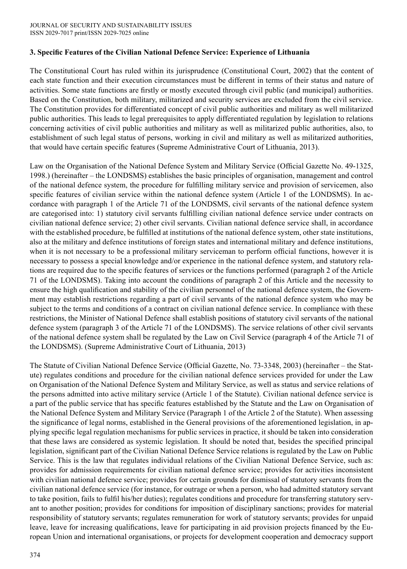### **3. Specific Features of the Civilian National Defence Service: Experience of Lithuania**

The Constitutional Court has ruled within its jurisprudence (Constitutional Court, 2002) that the content of each state function and their execution circumstances must be different in terms of their status and nature of activities. Some state functions are firstly or mostly executed through civil public (and municipal) authorities. Based on the Constitution, both military, militarized and security services are excluded from the civil service. The Constitution provides for differentiated concept of civil public authorities and military as well militarized public authorities. This leads to legal prerequisites to apply differentiated regulation by legislation to relations concerning activities of civil public authorities and military as well as militarized public authorities, also, to establishment of such legal status of persons, working in civil and military as well as militarized authorities, that would have certain specific features (Supreme Administrative Court of Lithuania, 2013).

Law on the Organisation of the National Defence System and Military Service (Official Gazette No. 49-1325, 1998.) (hereinafter – the LONDSMS) establishes the basic principles of organisation, management and control of the national defence system, the procedure for fulfilling military service and provision of servicemen, also specific features of civilian service within the national defence system (Article 1 of the LONDSMS). In accordance with paragraph 1 of the Article 71 of the LONDSMS, civil servants of the national defence system are categorised into: 1) statutory civil servants fulfilling civilian national defence service under contracts on civilian national defence service; 2) other civil servants. Civilian national defence service shall, in accordance with the established procedure, be fulfilled at institutions of the national defence system, other state institutions, also at the military and defence institutions of foreign states and international military and defence institutions, when it is not necessary to be a professional military serviceman to perform official functions, however it is necessary to possess a special knowledge and/or experience in the national defence system, and statutory relations are required due to the specific features of services or the functions performed (paragraph 2 of the Article 71 of the LONDSMS). Taking into account the conditions of paragraph 2 of this Article and the necessity to ensure the high qualification and stability of the civilian personnel of the national defence system, the Government may establish restrictions regarding a part of civil servants of the national defence system who may be subject to the terms and conditions of a contract on civilian national defence service. In compliance with these restrictions, the Minister of National Defence shall establish positions of statutory civil servants of the national defence system (paragraph 3 of the Article 71 of the LONDSMS). The service relations of other civil servants of the national defence system shall be regulated by the Law on Civil Service (paragraph 4 of the Article 71 of the LONDSMS). (Supreme Administrative Court of Lithuania, 2013)

The Statute of Civilian National Defence Service (Official Gazette, No. 73-3348, 2003) (hereinafter – the Statute) regulates conditions and procedure for the civilian national defence services provided for under the Law on Organisation of the National Defence System and Military Service, as well as status and service relations of the persons admitted into active military service (Article 1 of the Statute). Civilian national defence service is a part of the public service that has specific features established by the Statute and the Law on Organisation of the National Defence System and Military Service (Paragraph 1 of the Article 2 of the Statute). When assessing the significance of legal norms, established in the General provisions of the aforementioned legislation, in applying specific legal regulation mechanisms for public services in practice, it should be taken into consideration that these laws are considered as systemic legislation. It should be noted that, besides the specified principal legislation, significant part of the Civilian National Defence Service relations is regulated by the Law on Public Service. This is the law that regulates individual relations of the Civilian National Defence Service, such as: provides for admission requirements for civilian national defence service; provides for activities inconsistent with civilian national defence service; provides for certain grounds for dismissal of statutory servants from the civilian national defence service (for instance, for outrage or when a person, who had admitted statutory servant to take position, fails to fulfil his/her duties); regulates conditions and procedure for transferring statutory servant to another position; provides for conditions for imposition of disciplinary sanctions; provides for material responsibility of statutory servants; regulates remuneration for work of statutory servants; provides for unpaid leave, leave for increasing qualifications, leave for participating in aid provision projects financed by the European Union and international organisations, or projects for development cooperation and democracy support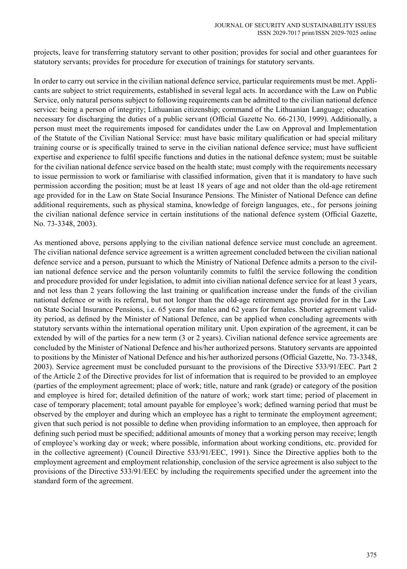projects, leave for transferring statutory servant to other position; provides for social and other guarantees for statutory servants; provides for procedure for execution of trainings for statutory servants.

In order to carry out service in the civilian national defence service, particular requirements must be met. Applicants are subject to strict requirements, established in several legal acts. In accordance with the Law on Public Service, only natural persons subject to following requirements can be admitted to the civilian national defence service: being a person of integrity; Lithuanian citizenship; command of the Lithuanian Language; education necessary for discharging the duties of a public servant (Official Gazette No. 66-2130, 1999). Additionally, a person must meet the requirements imposed for candidates under the Law on Approval and Implementation of the Statute of the Civilian National Service: must have basic military qualification or had special military training course or is specifically trained to serve in the civilian national defence service; must have sufficient expertise and experience to fulfil specific functions and duties in the national defence system; must be suitable for the civilian national defence service based on the health state; must comply with the requirements necessary to issue permission to work or familiarise with classified information, given that it is mandatory to have such permission according the position; must be at least 18 years of age and not older than the old-age retirement age provided for in the Law on State Social Insurance Pensions. The Minister of National Defence can define additional requirements, such as physical stamina, knowledge of foreign languages, etc., for persons joining the civilian national defence service in certain institutions of the national defence system (Official Gazette, No. 73-3348, 2003).

As mentioned above, persons applying to the civilian national defence service must conclude an agreement. The civilian national defence service agreement is a written agreement concluded between the civilian national defence service and a person, pursuant to which the Ministry of National Defence admits a person to the civilian national defence service and the person voluntarily commits to fulfil the service following the condition and procedure provided for under legislation, to admit into civilian national defence service for at least 3 years, and not less than 2 years following the last training or qualification increase under the funds of the civilian national defence or with its referral, but not longer than the old-age retirement age provided for in the Law on State Social Insurance Pensions, i.e. 65 years for males and 62 years for females. Shorter agreement validity period, as defined by the Minister of National Defence, can be applied when concluding agreements with statutory servants within the international operation military unit. Upon expiration of the agreement, it can be extended by will of the parties for a new term (3 or 2 years). Civilian national defence service agreements are concluded by the Minister of National Defence and his/her authorized persons. Statutory servants are appointed to positions by the Minister of National Defence and his/her authorized persons (Official Gazette, No. 73-3348, 2003). Service agreement must be concluded pursuant to the provisions of the Directive 533/91/EEC. Part 2 of the Article 2 of the Directive provides for list of information that is required to be provided to an employee (parties of the employment agreement; place of work; title, nature and rank (grade) or category of the position and employee is hired for; detailed definition of the nature of work; work start time; period of placement in case of temporary placement; total amount payable for employee's work; defined warning period that must be observed by the employer and during which an employee has a right to terminate the employment agreement; given that such period is not possible to define when providing information to an employee, then approach for defining such period must be specified; additional amounts of money that a working person may receive; length of employee's working day or week; where possible, information about working conditions, etc. provided for in the collective agreement) (Council Directive 533/91/EEC, 1991). Since the Directive applies both to the employment agreement and employment relationship, conclusion of the service agreement is also subject to the provisions of the Directive 533/91/EEC by including the requirements specified under the agreement into the standard form of the agreement.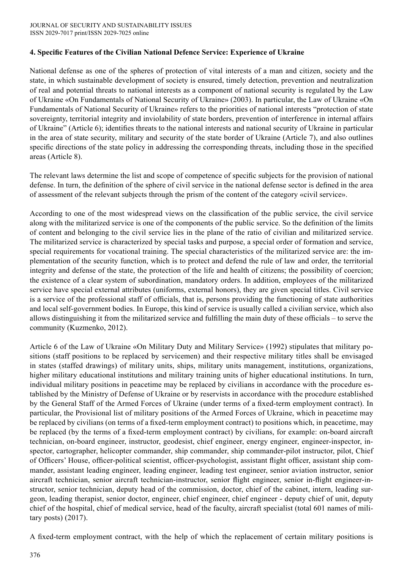# **4. Specific Features of the Civilian National Defence Service: Experience of Ukraine**

National defense as one of the spheres of protection of vital interests of a man and citizen, society and the state, in which sustainable development of society is ensured, timely detection, prevention and neutralization of real and potential threats to national interests as a component of national security is regulated by the Law of Ukraine «On Fundamentals of National Security of Ukraine» (2003). In particular, the Law of Ukraine «On Fundamentals of National Security of Ukraine» refers to the priorities of national interests "protection of state sovereignty, territorial integrity and inviolability of state borders, prevention of interference in internal affairs of Ukraine" (Article 6); identifies threats to the national interests and national security of Ukraine in particular in the area of state security, military and security of the state border of Ukraine (Article 7), and also outlines specific directions of the state policy in addressing the corresponding threats, including those in the specified areas (Article 8).

The relevant laws determine the list and scope of competence of specific subjects for the provision of national defense. In turn, the definition of the sphere of civil service in the national defense sector is defined in the area of assessment of the relevant subjects through the prism of the content of the category «civil service».

According to one of the most widespread views on the classification of the public service, the civil service along with the militarized service is one of the components of the public service. So the definition of the limits of content and belonging to the civil service lies in the plane of the ratio of civilian and militarized service. The militarized service is characterized by special tasks and purpose, a special order of formation and service, special requirements for vocational training. The special characteristics of the militarized service are: the implementation of the security function, which is to protect and defend the rule of law and order, the territorial integrity and defense of the state, the protection of the life and health of citizens; the possibility of coercion; the existence of a clear system of subordination, mandatory orders. In addition, employees of the militarized service have special external attributes (uniforms, external honors), they are given special titles. Civil service is a service of the professional staff of officials, that is, persons providing the functioning of state authorities and local self-government bodies. In Europe, this kind of service is usually called a civilian service, which also allows distinguishing it from the militarized service and fulfilling the main duty of these officials – to serve the community (Kuzmenko, 2012).

Article 6 of the Law of Ukraine «On Military Duty and Military Service» (1992) stipulates that military positions (staff positions to be replaced by servicemen) and their respective military titles shall be envisaged in states (staffed drawings) of military units, ships, military units management, institutions, organizations, higher military educational institutions and military training units of higher educational institutions. In turn, individual military positions in peacetime may be replaced by civilians in accordance with the procedure established by the Ministry of Defense of Ukraine or by reservists in accordance with the procedure established by the General Staff of the Armed Forces of Ukraine (under terms of a fixed-term employment contract). In particular, the Provisional list of military positions of the Armed Forces of Ukraine, which in peacetime may be replaced by civilians (on terms of a fixed-term employment contract) to positions which, in peacetime, may be replaced (by the terms of a fixed-term employment contract) by civilians, for example: on-board aircraft technician, on-board engineer, instructor, geodesist, chief engineer, energy engineer, engineer-inspector, inspector, cartographer, helicopter commander, ship commander, ship commander-pilot instructor, pilot, Chief of Officers' House, officer-political scientist, officer-psychologist, assistant flight officer, assistant ship commander, assistant leading engineer, leading engineer, leading test engineer, senior aviation instructor, senior aircraft technician, senior aircraft technician-instructor, senior flight engineer, senior in-flight engineer-instructor, senior technician, deputy head of the commission, doctor, chief of the cabinet, intern, leading surgeon, leading therapist, senior doctor, engineer, chief engineer, chief engineer - deputy chief of unit, deputy chief of the hospital, chief of medical service, head of the faculty, aircraft specialist (total 601 names of military posts) (2017).

A fixed-term employment contract, with the help of which the replacement of certain military positions is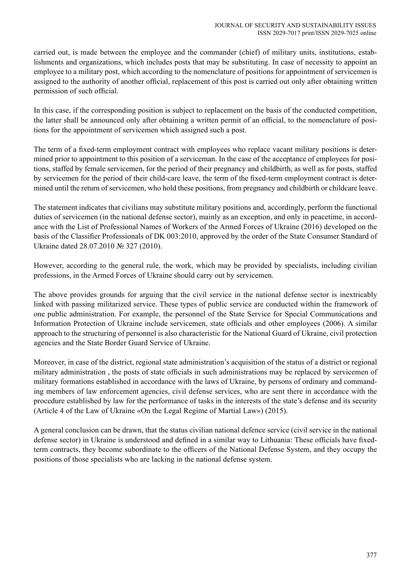carried out, is made between the employee and the commander (chief) of military units, institutions, establishments and organizations, which includes posts that may be substituting. In case of necessity to appoint an employee to a military post, which according to the nomenclature of positions for appointment of servicemen is assigned to the authority of another official, replacement of this post is carried out only after obtaining written permission of such official.

In this case, if the corresponding position is subject to replacement on the basis of the conducted competition, the latter shall be announced only after obtaining a written permit of an official, to the nomenclature of positions for the appointment of servicemen which assigned such a post.

The term of a fixed-term employment contract with employees who replace vacant military positions is determined prior to appointment to this position of a serviceman. In the case of the acceptance of employees for positions, staffed by female servicemen, for the period of their pregnancy and childbirth, as well as for posts, staffed by servicemen for the period of their child-care leave, the term of the fixed-term employment contract is determined until the return of servicemen, who hold these positions, from pregnancy and childbirth or childcare leave.

The statement indicates that civilians may substitute military positions and, accordingly, perform the functional duties of servicemen (in the national defense sector), mainly as an exception, and only in peacetime, in accordance with the List of Professional Names of Workers of the Armed Forces of Ukraine (2016) developed on the basis of the Classifier Professionals of DK 003:2010, approved by the order of the State Consumer Standard of Ukraine dated 28.07.2010 № 327 (2010).

However, according to the general rule, the work, which may be provided by specialists, including civilian professions, in the Armed Forces of Ukraine should carry out by servicemen.

The above provides grounds for arguing that the civil service in the national defense sector is inextricably linked with passing militarized service. These types of public service are conducted within the framework of one public administration. For example, the personnel of the State Service for Special Communications and Information Protection of Ukraine include servicemen, state officials and other employees (2006). A similar approach to the structuring of personnel is also characteristic for the National Guard of Ukraine, civil protection agencies and the State Border Guard Service of Ukraine.

Moreover, in case of the district, regional state administration's acquisition of the status of a district or regional military administration , the posts of state officials in such administrations may be replaced by servicemen of military formations established in accordance with the laws of Ukraine, by persons of ordinary and commanding members of law enforcement agencies, civil defense services, who are sent there in accordance with the procedure established by law for the performance of tasks in the interests of the state's defense and its security (Article 4 of the Law of Ukraine «On the Legal Regime of Martial Law») (2015).

A general conclusion can be drawn, that the status civilian national defence service (civil service in the national defense sector) in Ukraine is understood and defined in a similar way to Lithuania: These officials have fixedterm contracts, they become subordinate to the officers of the National Defense System, and they occupy the positions of those specialists who are lacking in the national defense system.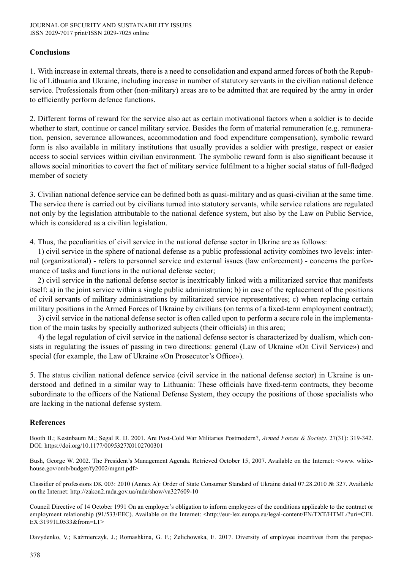## **Conclusions**

1. With increase in external threats, there is a need to consolidation and expand armed forces of both the Republic of Lithuania and Ukraine, including increase in number of statutory servants in the civilian national defence service. Professionals from other (non-military) areas are to be admitted that are required by the army in order to efficiently perform defence functions.

2. Different forms of reward for the service also act as certain motivational factors when a soldier is to decide whether to start, continue or cancel military service. Besides the form of material remuneration (e.g. remuneration, pension, severance allowances, accommodation and food expenditure compensation), symbolic reward form is also available in military institutions that usually provides a soldier with prestige, respect or easier access to social services within civilian environment. The symbolic reward form is also significant because it allows social minorities to covert the fact of military service fulfilment to a higher social status of full-fledged member of society

3. Civilian national defence service can be defined both as quasi-military and as quasi-civilian at the same time. The service there is carried out by civilians turned into statutory servants, while service relations are regulated not only by the legislation attributable to the national defence system, but also by the Law on Public Service, which is considered as a civilian legislation.

4. Thus, the peculiarities of civil service in the national defense sector in Ukrine are as follows:

1) civil service in the sphere of national defense as a public professional activity combines two levels: internal (organizational) - refers to personnel service and external issues (law enforcement) - concerns the performance of tasks and functions in the national defense sector;

2) civil service in the national defense sector is inextricably linked with a militarized service that manifests itself: a) in the joint service within a single public administration; b) in case of the replacement of the positions of civil servants of military administrations by militarized service representatives; c) when replacing certain military positions in the Armed Forces of Ukraine by civilians (on terms of a fixed-term employment contract);

3) civil service in the national defense sector is often called upon to perform a secure role in the implementation of the main tasks by specially authorized subjects (their officials) in this area;

4) the legal regulation of civil service in the national defense sector is characterized by dualism, which consists in regulating the issues of passing in two directions: general (Law of Ukraine «On Civil Service») and special (for example, the Law of Ukraine «On Prosecutor's Office»).

5. The status civilian national defence service (civil service in the national defense sector) in Ukraine is understood and defined in a similar way to Lithuania: These officials have fixed-term contracts, they become subordinate to the officers of the National Defense System, they occupy the positions of those specialists who are lacking in the national defense system.

#### **References**

Booth B.; Kestnbaum M.; Segal R. D. 2001. Are Post-Cold War Militaries Postmodern?, *Armed Forces & Society*. 27(31): 319-342. DOI: https://doi.org/10.1177/0095327X0102700301

Bush, George W. 2002. The President's Management Agenda. Retrieved October 15, 2007. Available on the Internet: <www. whitehouse.gov/omb/budget/fy2002/mgmt.pdf>

Classifier of professions DK 003: 2010 (Annex A): Order of State Consumer Standard of Ukraine dated 07.28.2010 № 327. Available on the Internet: http://zakon2.rada.gov.ua/rada/show/va327609-10

Council Directive of 14 October 1991 On an employer's obligation to inform employees of the conditions applicable to the contract or employment relationship (91/533/EEC). Available on the Internet: <http://eur-lex.europa.eu/legal-content/EN/TXT/HTML/?uri=CEL EX:31991L0533&from=LT>

Davydenko, V.; Kaźmierczyk, J.; Romashkina, G. F.; Żelichowska, E. 2017. Diversity of employee incentives from the perspec-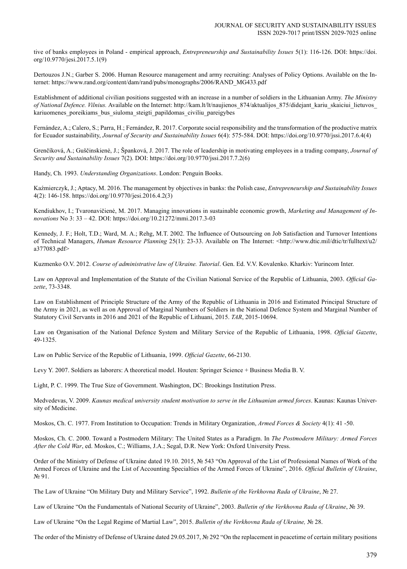tive of banks employees in Poland - empirical approach, *Entrepreneurship and Sustainability Issues* 5(1): 116-126. DOI: https://doi. org/10.9770/jesi.2017.5.1(9)

Dertouzos J.N.; Garber S. 2006. Human Resource management and army recruiting: Analyses of Policy Options. Available on the Internet: https://www.rand.org/content/dam/rand/pubs/monographs/2006/RAND\_MG433.pdf

Establishment of additional civilian positions suggested with an increase in a number of soldiers in the Lithuanian Army. *The Ministry of National Defence. Vilnius.* Available on the Internet: http://kam.lt/lt/naujienos\_874/aktualijos\_875/didejant\_kariu\_skaiciui\_lietuvos\_ kariuomenes poreikiams bus siuloma steigti papildomas civiliu pareigybes

Fernández, A.; Calero, S.; Parra, H.; Fernández, R. 2017. Corporate social responsibility and the transformation of the productive matrix for Ecuador sustainability, *Journal of Security and Sustainability Issues* 6(4): 575-584. DOI: https://doi.org/10.9770/jssi.2017.6.4(4)

Grenčíková, A.; Guščinskienė, J.; Španková, J. 2017. The role of leadership in motivating employees in a trading company, *Journal of Security and Sustainability Issues* 7(2). DOI: https://doi.org/10.9770/jssi.2017.7.2(6)

Handy, Ch. 1993. *Understanding Organizations*. London: Penguin Books.

Kaźmierczyk, J.; Aptacy, M. 2016. The management by objectives in banks: the Polish case, *Entrepreneurship and Sustainability Issues* 4(2): 146-158. https://doi.org/10.9770/jesi.2016.4.2(3)

Kendiukhov, I.; Tvaronavičienė, M. 2017. Managing innovations in sustainable economic growth, *Marketing and Management of Innovations* No 3: 33 – 42. DOI: https://doi.org/10.21272/mmi.2017.3-03

Kennedy, J. F.; Holt, T.D.; Ward, M. A.; Rehg, M.T. 2002. The Influence of Outsourcing on Job Satisfaction and Turnover Intentions of Technical Managers, *Human Resource Planning* 25(1): 23-33. Available on The Internet: <http://www.dtic.mil/dtic/tr/fulltext/u2/ a377083.pdf>

Kuzmenko O.V. 2012. *Course of administrative law of Ukraine. Tutorial*. Gen. Ed. V.V. Kovalenko. Kharkiv: Yurincom Inter.

Law on Approval and Implementation of the Statute of the Civilian National Service of the Republic of Lithuania, 2003. *Official Gazette*, 73-3348.

Law on Establishment of Principle Structure of the Army of the Republic of Lithuania in 2016 and Estimated Principal Structure of the Army in 2021, as well as on Approval of Marginal Numbers of Soldiers in the National Defence System and Marginal Number of Statutory Civil Servants in 2016 and 2021 of the Republic of Lithuani, 2015. *TAR*, 2015-10694.

Law on Organisation of the National Defence System and Military Service of the Republic of Lithuania, 1998. *Official Gazette*, 49-1325.

Law on Public Service of the Republic of Lithuania, 1999. *Official Gazette*, 66-2130.

Levy Y. 2007. Soldiers as laborers: A theoretical model. Houten: Springer Science + Business Media B. V.

Light, P. C. 1999. The True Size of Government. Washington, DC: Brookings Institution Press.

Medvedevas, V. 2009. *Kaunas medical university student motivation to serve in the Lithuanian armed forces*. Kaunas: Kaunas University of Medicine.

Moskos, Ch. C. 1977. From Institution to Occupation: Trends in Military Organization, *Armed Forces & Society* 4(1): 41 -50.

Moskos, Ch. C. 2000. Toward a Postmodern Military: The United States as a Paradigm. In *The Postmodern Military: Armed Forces After the Cold War*, ed. Moskos, C.; Williams, J.A.; Segal, D.R. New York: Oxford University Press.

Order of the Ministry of Defense of Ukraine dated 19.10. 2015, № 543 "On Approval of the List of Professional Names of Work of the Armed Forces of Ukraine and the List of Accounting Specialties of the Armed Forces of Ukraine", 2016. *Official Bulletin of Ukraine*, № 91.

The Law of Ukraine "On Military Duty and Military Service", 1992. *Bulletin of the Verkhovna Rada of Ukraine*, № 27.

Law of Ukraine "On the Fundamentals of National Security of Ukraine", 2003. *Bulletin of the Verkhovna Rada of Ukraine*, № 39.

Law of Ukraine "On the Legal Regime of Martial Law", 2015. *Bulletin of the Verkhovna Rada of Ukraine,* № 28.

The order of the Ministry of Defense of Ukraine dated 29.05.2017, № 292 "On the replacement in peacetime of certain military positions